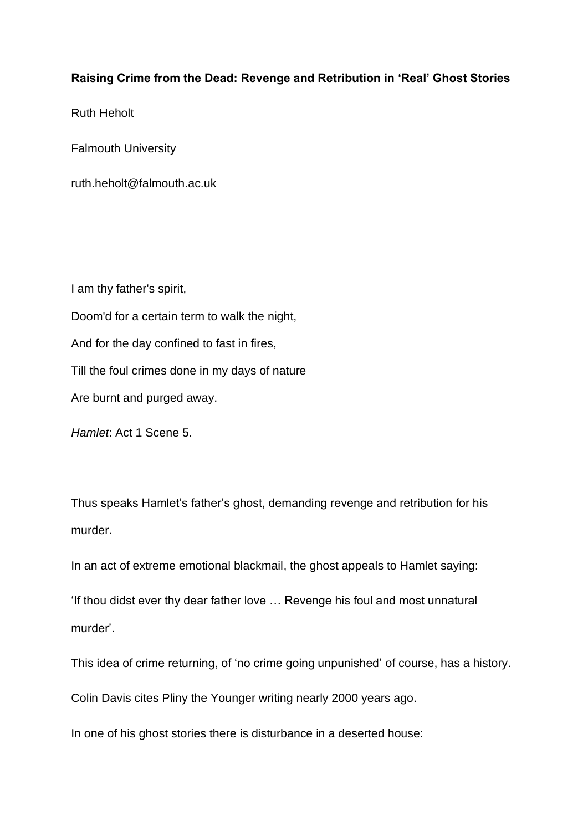## **Raising Crime from the Dead: Revenge and Retribution in 'Real' Ghost Stories**

Ruth Heholt

Falmouth University

ruth.heholt@falmouth.ac.uk

I am thy father's spirit, Doom'd for a certain term to walk the night, And for the day confined to fast in fires, Till the foul crimes done in my days of nature Are burnt and purged away.

*Hamlet*: Act 1 Scene 5.

Thus speaks Hamlet's father's ghost, demanding revenge and retribution for his murder.

In an act of extreme emotional blackmail, the ghost appeals to Hamlet saying:

'If thou didst ever thy dear father love … Revenge his foul and most unnatural murder'.

This idea of crime returning, of 'no crime going unpunished' of course, has a history.

Colin Davis cites Pliny the Younger writing nearly 2000 years ago.

In one of his ghost stories there is disturbance in a deserted house: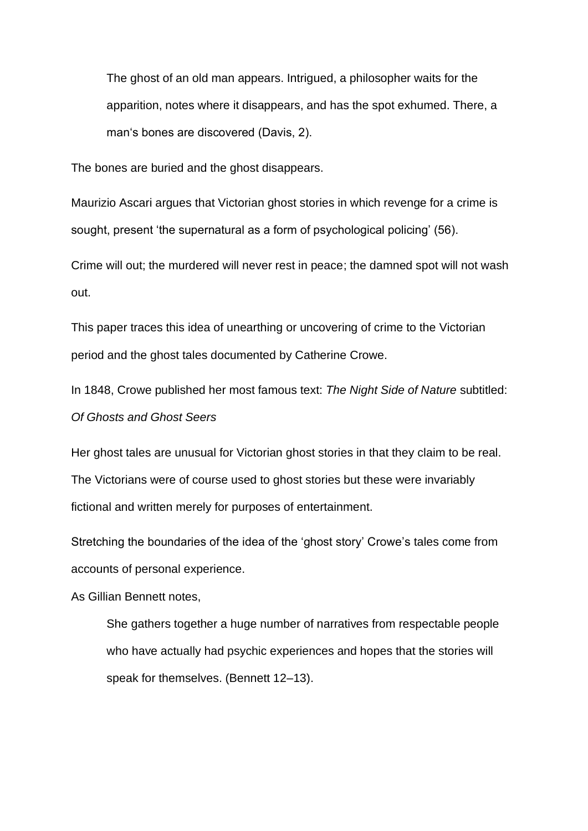The ghost of an old man appears. Intrigued, a philosopher waits for the apparition, notes where it disappears, and has the spot exhumed. There, a man's bones are discovered (Davis, 2).

The bones are buried and the ghost disappears.

Maurizio Ascari argues that Victorian ghost stories in which revenge for a crime is sought, present 'the supernatural as a form of psychological policing' (56).

Crime will out; the murdered will never rest in peace; the damned spot will not wash out.

This paper traces this idea of unearthing or uncovering of crime to the Victorian period and the ghost tales documented by Catherine Crowe.

In 1848, Crowe published her most famous text: *The Night Side of Nature* subtitled: *Of Ghosts and Ghost Seers*

Her ghost tales are unusual for Victorian ghost stories in that they claim to be real. The Victorians were of course used to ghost stories but these were invariably fictional and written merely for purposes of entertainment.

Stretching the boundaries of the idea of the 'ghost story' Crowe's tales come from accounts of personal experience.

As Gillian Bennett notes,

She gathers together a huge number of narratives from respectable people who have actually had psychic experiences and hopes that the stories will speak for themselves. (Bennett 12–13).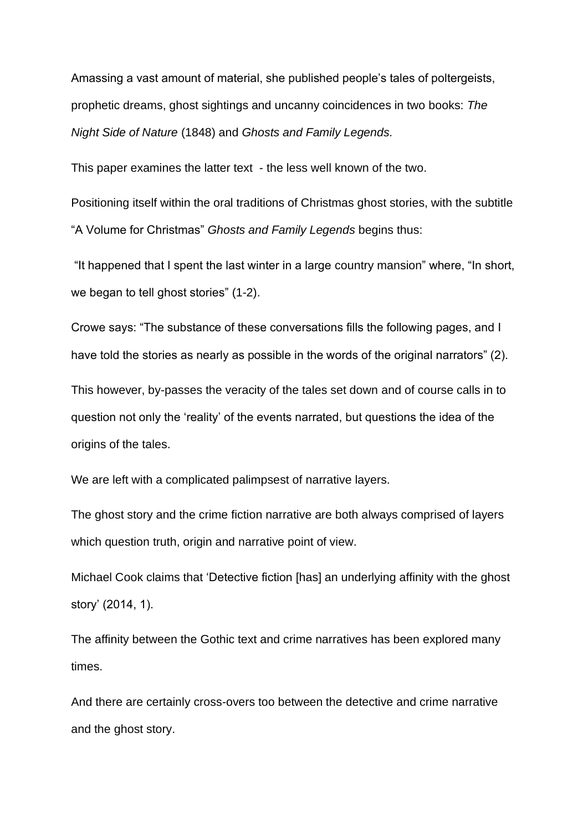Amassing a vast amount of material, she published people's tales of poltergeists, prophetic dreams, ghost sightings and uncanny coincidences in two books: *The Night Side of Nature* (1848) and *Ghosts and Family Legends.*

This paper examines the latter text - the less well known of the two.

Positioning itself within the oral traditions of Christmas ghost stories, with the subtitle "A Volume for Christmas" *Ghosts and Family Legends* begins thus:

"It happened that I spent the last winter in a large country mansion" where, "In short, we began to tell ghost stories" (1-2).

Crowe says: "The substance of these conversations fills the following pages, and I have told the stories as nearly as possible in the words of the original narrators" (2).

This however, by-passes the veracity of the tales set down and of course calls in to question not only the 'reality' of the events narrated, but questions the idea of the origins of the tales.

We are left with a complicated palimpsest of narrative layers.

The ghost story and the crime fiction narrative are both always comprised of layers which question truth, origin and narrative point of view.

Michael Cook claims that 'Detective fiction [has] an underlying affinity with the ghost story' (2014, 1).

The affinity between the Gothic text and crime narratives has been explored many times.

And there are certainly cross-overs too between the detective and crime narrative and the ghost story.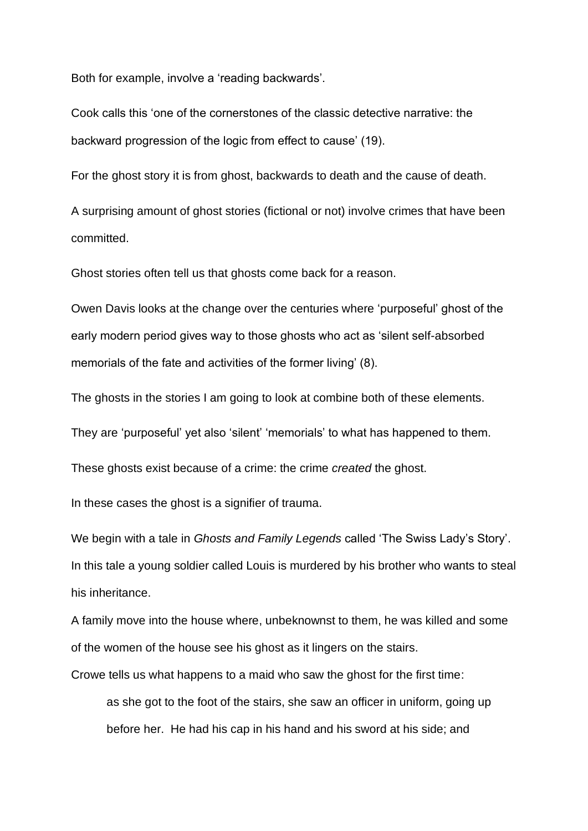Both for example, involve a 'reading backwards'.

Cook calls this 'one of the cornerstones of the classic detective narrative: the backward progression of the logic from effect to cause' (19).

For the ghost story it is from ghost, backwards to death and the cause of death.

A surprising amount of ghost stories (fictional or not) involve crimes that have been committed.

Ghost stories often tell us that ghosts come back for a reason.

Owen Davis looks at the change over the centuries where 'purposeful' ghost of the early modern period gives way to those ghosts who act as 'silent self-absorbed memorials of the fate and activities of the former living' (8).

The ghosts in the stories I am going to look at combine both of these elements.

They are 'purposeful' yet also 'silent' 'memorials' to what has happened to them.

These ghosts exist because of a crime: the crime *created* the ghost.

In these cases the ghost is a signifier of trauma.

We begin with a tale in *Ghosts and Family Legends* called 'The Swiss Lady's Story'. In this tale a young soldier called Louis is murdered by his brother who wants to steal his inheritance.

A family move into the house where, unbeknownst to them, he was killed and some of the women of the house see his ghost as it lingers on the stairs.

Crowe tells us what happens to a maid who saw the ghost for the first time:

as she got to the foot of the stairs, she saw an officer in uniform, going up before her. He had his cap in his hand and his sword at his side; and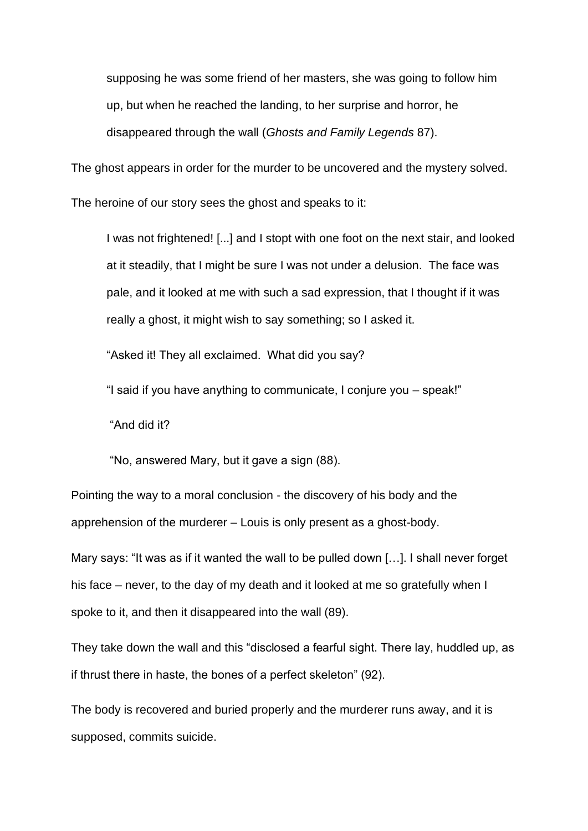supposing he was some friend of her masters, she was going to follow him up, but when he reached the landing, to her surprise and horror, he disappeared through the wall (*Ghosts and Family Legends* 87).

The ghost appears in order for the murder to be uncovered and the mystery solved.

The heroine of our story sees the ghost and speaks to it:

I was not frightened! [...] and I stopt with one foot on the next stair, and looked at it steadily, that I might be sure I was not under a delusion. The face was pale, and it looked at me with such a sad expression, that I thought if it was really a ghost, it might wish to say something; so I asked it.

"Asked it! They all exclaimed. What did you say?

"I said if you have anything to communicate, I conjure you – speak!"

"And did it?

"No, answered Mary, but it gave a sign (88).

Pointing the way to a moral conclusion - the discovery of his body and the apprehension of the murderer – Louis is only present as a ghost-body.

Mary says: "It was as if it wanted the wall to be pulled down […]. I shall never forget his face – never, to the day of my death and it looked at me so gratefully when I spoke to it, and then it disappeared into the wall (89).

They take down the wall and this "disclosed a fearful sight. There lay, huddled up, as if thrust there in haste, the bones of a perfect skeleton" (92).

The body is recovered and buried properly and the murderer runs away, and it is supposed, commits suicide.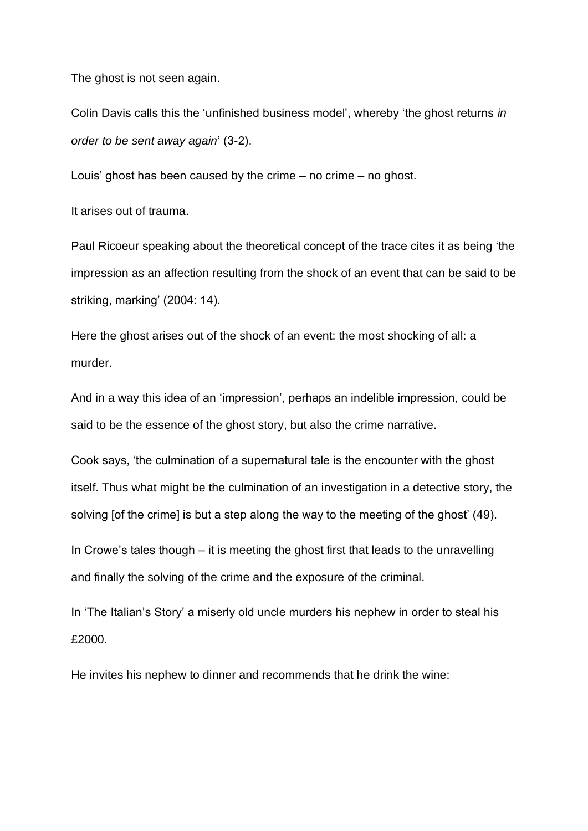The ghost is not seen again.

Colin Davis calls this the 'unfinished business model', whereby 'the ghost returns *in order to be sent away again*' (3-2).

Louis' ghost has been caused by the crime – no crime – no ghost.

It arises out of trauma.

Paul Ricoeur speaking about the theoretical concept of the trace cites it as being 'the impression as an affection resulting from the shock of an event that can be said to be striking, marking' (2004: 14).

Here the ghost arises out of the shock of an event: the most shocking of all: a murder.

And in a way this idea of an 'impression', perhaps an indelible impression, could be said to be the essence of the ghost story, but also the crime narrative.

Cook says, 'the culmination of a supernatural tale is the encounter with the ghost itself. Thus what might be the culmination of an investigation in a detective story, the solving [of the crime] is but a step along the way to the meeting of the ghost' (49).

In Crowe's tales though – it is meeting the ghost first that leads to the unravelling and finally the solving of the crime and the exposure of the criminal.

In 'The Italian's Story' a miserly old uncle murders his nephew in order to steal his £2000.

He invites his nephew to dinner and recommends that he drink the wine: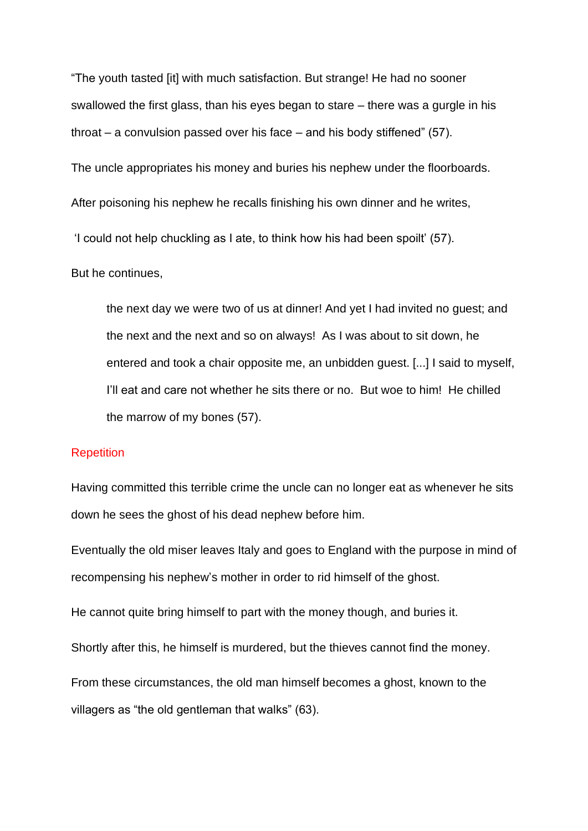"The youth tasted [it] with much satisfaction. But strange! He had no sooner swallowed the first glass, than his eyes began to stare – there was a gurgle in his throat – a convulsion passed over his face – and his body stiffened" (57). The uncle appropriates his money and buries his nephew under the floorboards. After poisoning his nephew he recalls finishing his own dinner and he writes, 'I could not help chuckling as I ate, to think how his had been spoilt' (57).

## But he continues,

the next day we were two of us at dinner! And yet I had invited no guest; and the next and the next and so on always! As I was about to sit down, he entered and took a chair opposite me, an unbidden guest. [...] I said to myself, I'll eat and care not whether he sits there or no. But woe to him! He chilled the marrow of my bones (57).

## **Repetition**

Having committed this terrible crime the uncle can no longer eat as whenever he sits down he sees the ghost of his dead nephew before him.

Eventually the old miser leaves Italy and goes to England with the purpose in mind of recompensing his nephew's mother in order to rid himself of the ghost.

He cannot quite bring himself to part with the money though, and buries it.

Shortly after this, he himself is murdered, but the thieves cannot find the money.

From these circumstances, the old man himself becomes a ghost, known to the villagers as "the old gentleman that walks" (63).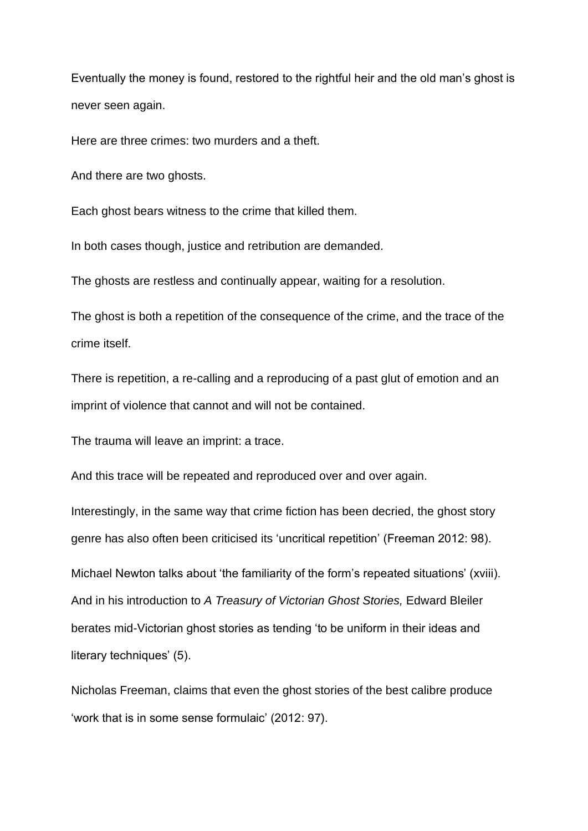Eventually the money is found, restored to the rightful heir and the old man's ghost is never seen again.

Here are three crimes: two murders and a theft.

And there are two ghosts.

Each ghost bears witness to the crime that killed them.

In both cases though, justice and retribution are demanded.

The ghosts are restless and continually appear, waiting for a resolution.

The ghost is both a repetition of the consequence of the crime, and the trace of the crime itself.

There is repetition, a re-calling and a reproducing of a past glut of emotion and an imprint of violence that cannot and will not be contained.

The trauma will leave an imprint: a trace.

And this trace will be repeated and reproduced over and over again.

Interestingly, in the same way that crime fiction has been decried, the ghost story genre has also often been criticised its 'uncritical repetition' (Freeman 2012: 98).

Michael Newton talks about 'the familiarity of the form's repeated situations' (xviii). And in his introduction to *A Treasury of Victorian Ghost Stories,* Edward Bleiler berates mid-Victorian ghost stories as tending 'to be uniform in their ideas and literary techniques' (5).

Nicholas Freeman, claims that even the ghost stories of the best calibre produce 'work that is in some sense formulaic' (2012: 97).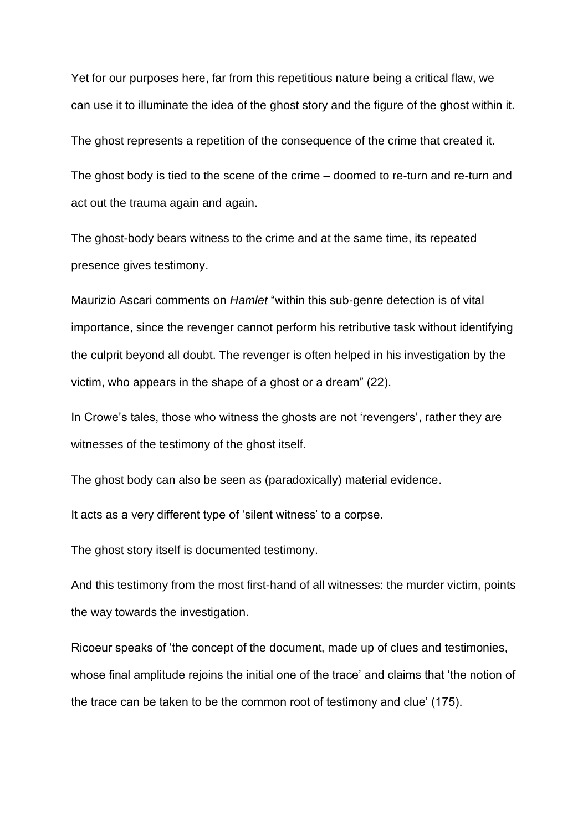Yet for our purposes here, far from this repetitious nature being a critical flaw, we can use it to illuminate the idea of the ghost story and the figure of the ghost within it.

The ghost represents a repetition of the consequence of the crime that created it.

The ghost body is tied to the scene of the crime – doomed to re-turn and re-turn and act out the trauma again and again.

The ghost-body bears witness to the crime and at the same time, its repeated presence gives testimony.

Maurizio Ascari comments on *Hamlet* "within this sub-genre detection is of vital importance, since the revenger cannot perform his retributive task without identifying the culprit beyond all doubt. The revenger is often helped in his investigation by the victim, who appears in the shape of a ghost or a dream" (22).

In Crowe's tales, those who witness the ghosts are not 'revengers', rather they are witnesses of the testimony of the ghost itself.

The ghost body can also be seen as (paradoxically) material evidence.

It acts as a very different type of 'silent witness' to a corpse.

The ghost story itself is documented testimony.

And this testimony from the most first-hand of all witnesses: the murder victim, points the way towards the investigation.

Ricoeur speaks of 'the concept of the document, made up of clues and testimonies, whose final amplitude rejoins the initial one of the trace' and claims that 'the notion of the trace can be taken to be the common root of testimony and clue' (175).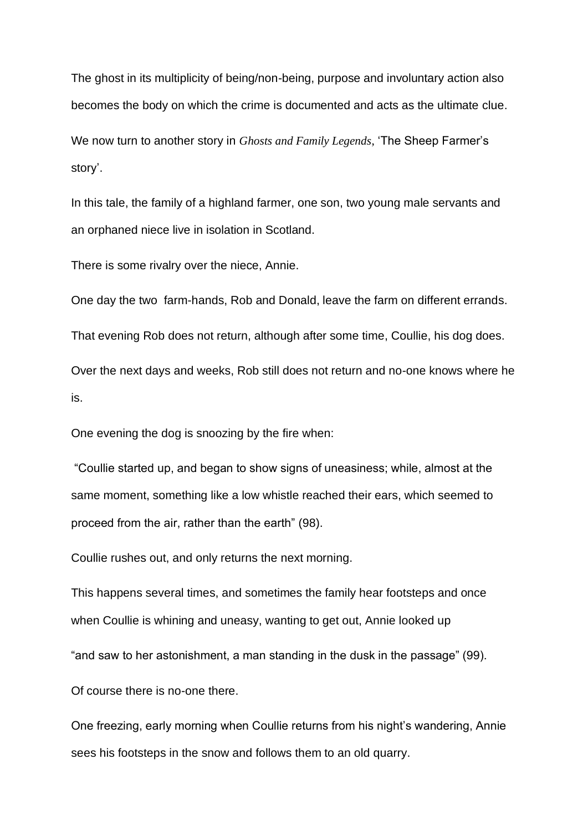The ghost in its multiplicity of being/non-being, purpose and involuntary action also becomes the body on which the crime is documented and acts as the ultimate clue.

We now turn to another story in *Ghosts and Family Legends*, 'The Sheep Farmer's story'.

In this tale, the family of a highland farmer, one son, two young male servants and an orphaned niece live in isolation in Scotland.

There is some rivalry over the niece, Annie.

One day the two farm-hands, Rob and Donald, leave the farm on different errands.

That evening Rob does not return, although after some time, Coullie, his dog does.

Over the next days and weeks, Rob still does not return and no-one knows where he is.

One evening the dog is snoozing by the fire when:

"Coullie started up, and began to show signs of uneasiness; while, almost at the same moment, something like a low whistle reached their ears, which seemed to proceed from the air, rather than the earth" (98).

Coullie rushes out, and only returns the next morning.

This happens several times, and sometimes the family hear footsteps and once when Coullie is whining and uneasy, wanting to get out, Annie looked up

"and saw to her astonishment, a man standing in the dusk in the passage" (99).

Of course there is no-one there.

One freezing, early morning when Coullie returns from his night's wandering, Annie sees his footsteps in the snow and follows them to an old quarry.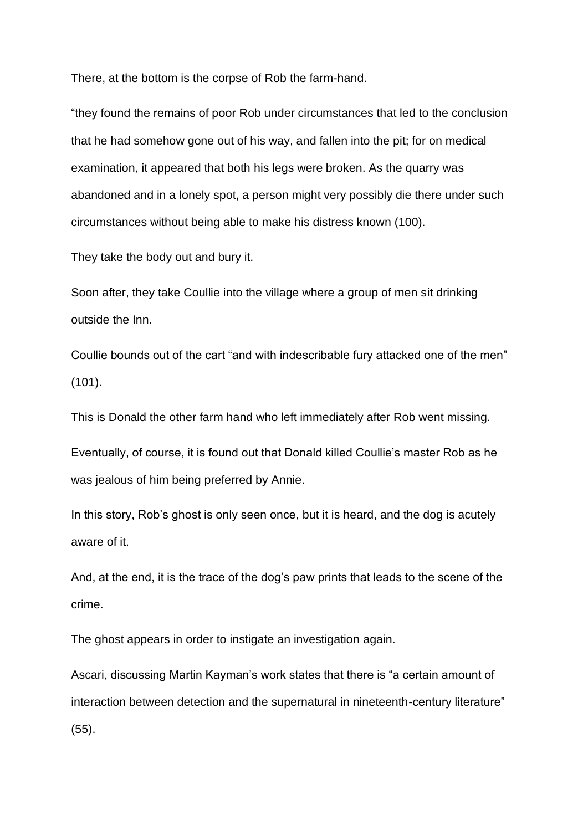There, at the bottom is the corpse of Rob the farm-hand.

"they found the remains of poor Rob under circumstances that led to the conclusion that he had somehow gone out of his way, and fallen into the pit; for on medical examination, it appeared that both his legs were broken. As the quarry was abandoned and in a lonely spot, a person might very possibly die there under such circumstances without being able to make his distress known (100).

They take the body out and bury it.

Soon after, they take Coullie into the village where a group of men sit drinking outside the Inn.

Coullie bounds out of the cart "and with indescribable fury attacked one of the men" (101).

This is Donald the other farm hand who left immediately after Rob went missing.

Eventually, of course, it is found out that Donald killed Coullie's master Rob as he was jealous of him being preferred by Annie.

In this story, Rob's ghost is only seen once, but it is heard, and the dog is acutely aware of it.

And, at the end, it is the trace of the dog's paw prints that leads to the scene of the crime.

The ghost appears in order to instigate an investigation again.

Ascari, discussing Martin Kayman's work states that there is "a certain amount of interaction between detection and the supernatural in nineteenth-century literature" (55).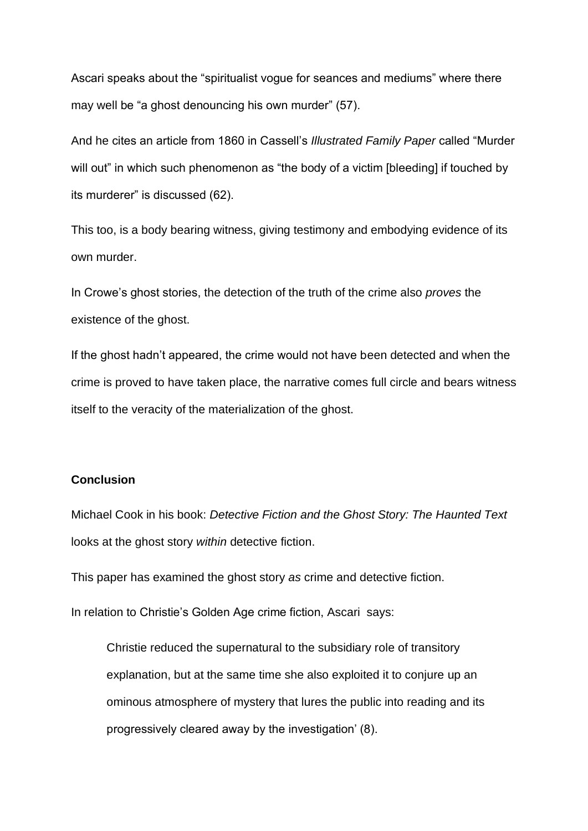Ascari speaks about the "spiritualist vogue for seances and mediums" where there may well be "a ghost denouncing his own murder" (57).

And he cites an article from 1860 in Cassell's *Illustrated Family Paper* called "Murder will out" in which such phenomenon as "the body of a victim [bleeding] if touched by its murderer" is discussed (62).

This too, is a body bearing witness, giving testimony and embodying evidence of its own murder.

In Crowe's ghost stories, the detection of the truth of the crime also *proves* the existence of the ghost.

If the ghost hadn't appeared, the crime would not have been detected and when the crime is proved to have taken place, the narrative comes full circle and bears witness itself to the veracity of the materialization of the ghost.

## **Conclusion**

Michael Cook in his book: *Detective Fiction and the Ghost Story: The Haunted Text* looks at the ghost story *within* detective fiction.

This paper has examined the ghost story *as* crime and detective fiction.

In relation to Christie's Golden Age crime fiction, Ascari says:

Christie reduced the supernatural to the subsidiary role of transitory explanation, but at the same time she also exploited it to conjure up an ominous atmosphere of mystery that lures the public into reading and its progressively cleared away by the investigation' (8).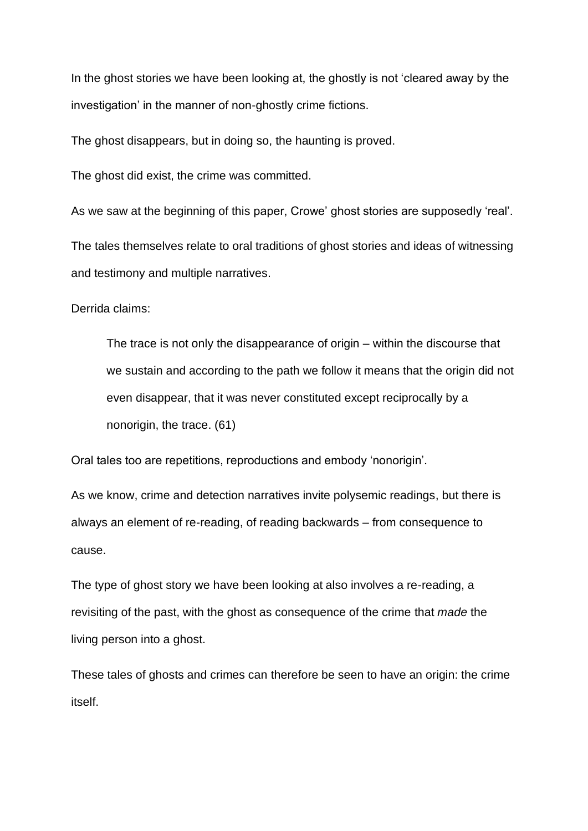In the ghost stories we have been looking at, the ghostly is not 'cleared away by the investigation' in the manner of non-ghostly crime fictions.

The ghost disappears, but in doing so, the haunting is proved.

The ghost did exist, the crime was committed.

As we saw at the beginning of this paper, Crowe' ghost stories are supposedly 'real'.

The tales themselves relate to oral traditions of ghost stories and ideas of witnessing and testimony and multiple narratives.

Derrida claims:

The trace is not only the disappearance of origin – within the discourse that we sustain and according to the path we follow it means that the origin did not even disappear, that it was never constituted except reciprocally by a nonorigin, the trace. (61)

Oral tales too are repetitions, reproductions and embody 'nonorigin'.

As we know, crime and detection narratives invite polysemic readings, but there is always an element of re-reading, of reading backwards – from consequence to cause.

The type of ghost story we have been looking at also involves a re-reading, a revisiting of the past, with the ghost as consequence of the crime that *made* the living person into a ghost.

These tales of ghosts and crimes can therefore be seen to have an origin: the crime itself.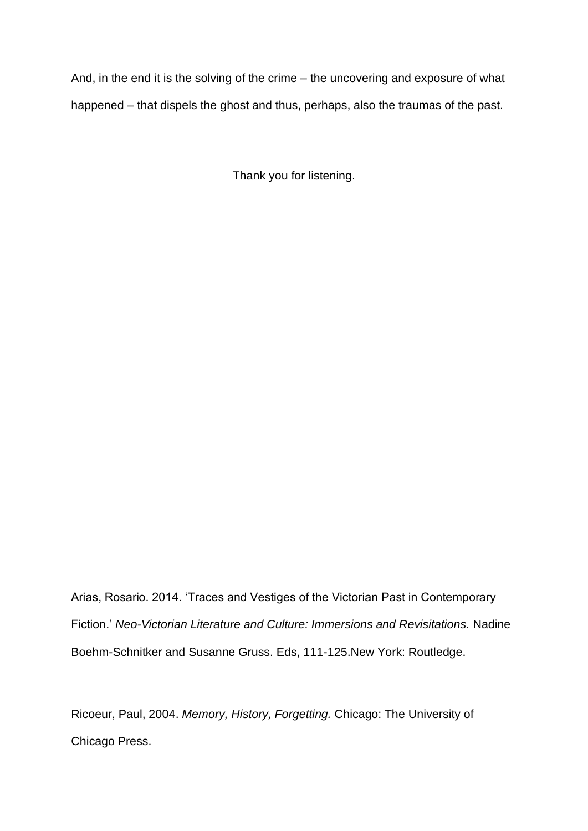And, in the end it is the solving of the crime – the uncovering and exposure of what happened – that dispels the ghost and thus, perhaps, also the traumas of the past.

Thank you for listening.

Arias, Rosario. 2014. 'Traces and Vestiges of the Victorian Past in Contemporary Fiction.' *Neo-Victorian Literature and Culture: Immersions and Revisitations.* Nadine Boehm-Schnitker and Susanne Gruss. Eds, 111-125.New York: Routledge.

Ricoeur, Paul, 2004. *Memory, History, Forgetting.* Chicago: The University of Chicago Press.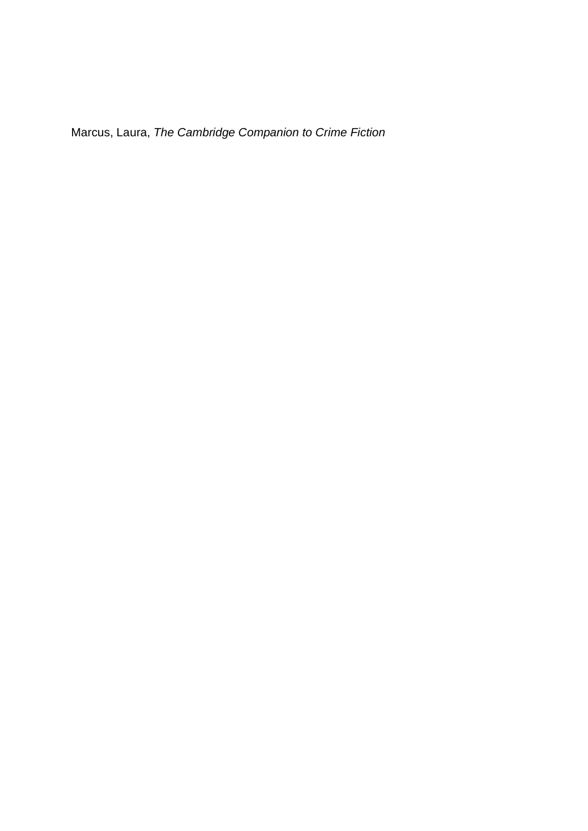Marcus, Laura, *The Cambridge Companion to Crime Fiction*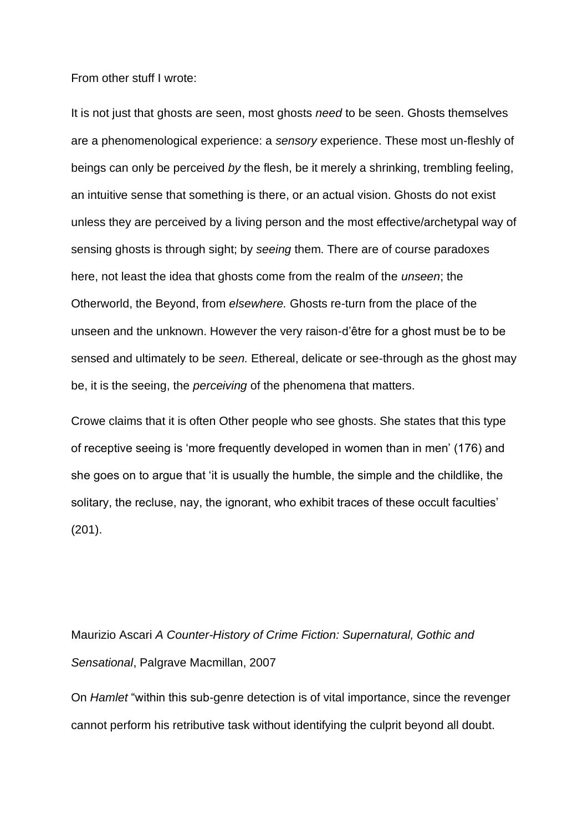From other stuff I wrote:

It is not just that ghosts are seen, most ghosts *need* to be seen. Ghosts themselves are a phenomenological experience: a *sensory* experience. These most un-fleshly of beings can only be perceived *by* the flesh, be it merely a shrinking, trembling feeling, an intuitive sense that something is there, or an actual vision. Ghosts do not exist unless they are perceived by a living person and the most effective/archetypal way of sensing ghosts is through sight; by *seeing* them. There are of course paradoxes here, not least the idea that ghosts come from the realm of the *unseen*; the Otherworld, the Beyond, from *elsewhere.* Ghosts re-turn from the place of the unseen and the unknown. However the very raison-d'être for a ghost must be to be sensed and ultimately to be *seen.* Ethereal, delicate or see-through as the ghost may be, it is the seeing, the *perceiving* of the phenomena that matters.

Crowe claims that it is often Other people who see ghosts. She states that this type of receptive seeing is 'more frequently developed in women than in men' (176) and she goes on to argue that 'it is usually the humble, the simple and the childlike, the solitary, the recluse, nay, the ignorant, who exhibit traces of these occult faculties' (201).

Maurizio Ascari *A Counter-History of Crime Fiction: Supernatural, Gothic and Sensational*, Palgrave Macmillan, 2007

On *Hamlet* "within this sub-genre detection is of vital importance, since the revenger cannot perform his retributive task without identifying the culprit beyond all doubt.